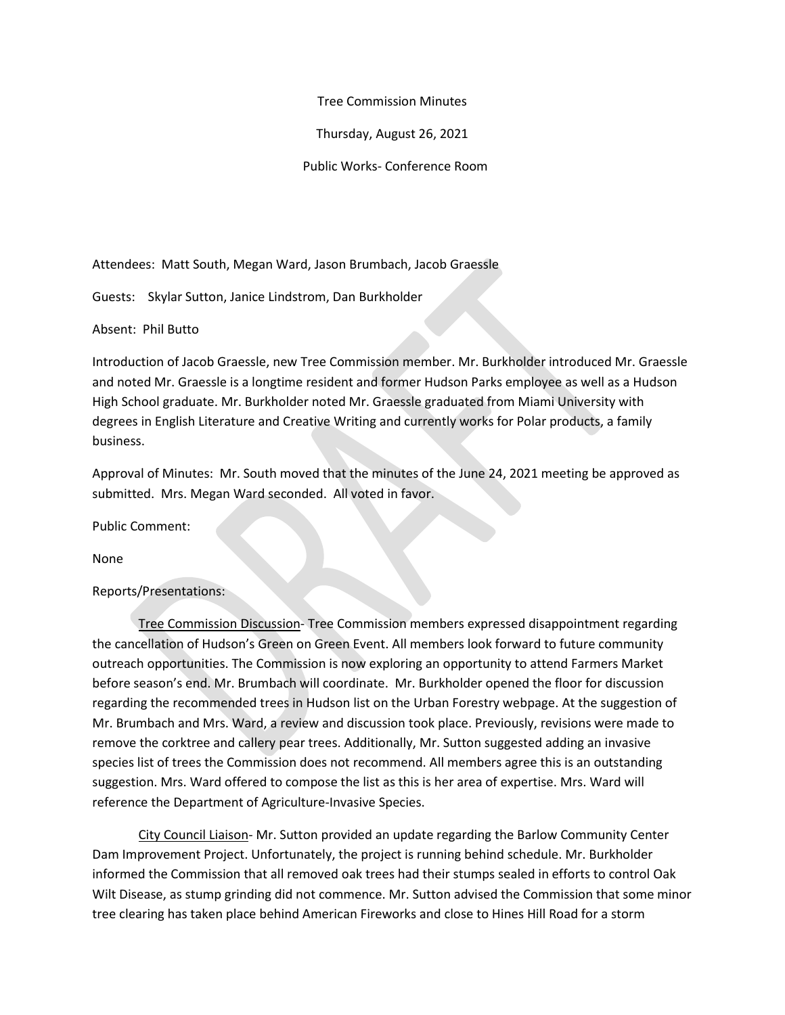## Tree Commission Minutes

Thursday, August 26, 2021

Public Works- Conference Room

Attendees: Matt South, Megan Ward, Jason Brumbach, Jacob Graessle

Guests: Skylar Sutton, Janice Lindstrom, Dan Burkholder

Absent: Phil Butto

Introduction of Jacob Graessle, new Tree Commission member. Mr. Burkholder introduced Mr. Graessle and noted Mr. Graessle is a longtime resident and former Hudson Parks employee as well as a Hudson High School graduate. Mr. Burkholder noted Mr. Graessle graduated from Miami University with degrees in English Literature and Creative Writing and currently works for Polar products, a family business.

Approval of Minutes: Mr. South moved that the minutes of the June 24, 2021 meeting be approved as submitted. Mrs. Megan Ward seconded. All voted in favor.

Public Comment:

None

Reports/Presentations:

Tree Commission Discussion- Tree Commission members expressed disappointment regarding the cancellation of Hudson's Green on Green Event. All members look forward to future community outreach opportunities. The Commission is now exploring an opportunity to attend Farmers Market before season's end. Mr. Brumbach will coordinate. Mr. Burkholder opened the floor for discussion regarding the recommended trees in Hudson list on the Urban Forestry webpage. At the suggestion of Mr. Brumbach and Mrs. Ward, a review and discussion took place. Previously, revisions were made to remove the corktree and callery pear trees. Additionally, Mr. Sutton suggested adding an invasive species list of trees the Commission does not recommend. All members agree this is an outstanding suggestion. Mrs. Ward offered to compose the list as this is her area of expertise. Mrs. Ward will reference the Department of Agriculture-Invasive Species.

City Council Liaison- Mr. Sutton provided an update regarding the Barlow Community Center Dam Improvement Project. Unfortunately, the project is running behind schedule. Mr. Burkholder informed the Commission that all removed oak trees had their stumps sealed in efforts to control Oak Wilt Disease, as stump grinding did not commence. Mr. Sutton advised the Commission that some minor tree clearing has taken place behind American Fireworks and close to Hines Hill Road for a storm